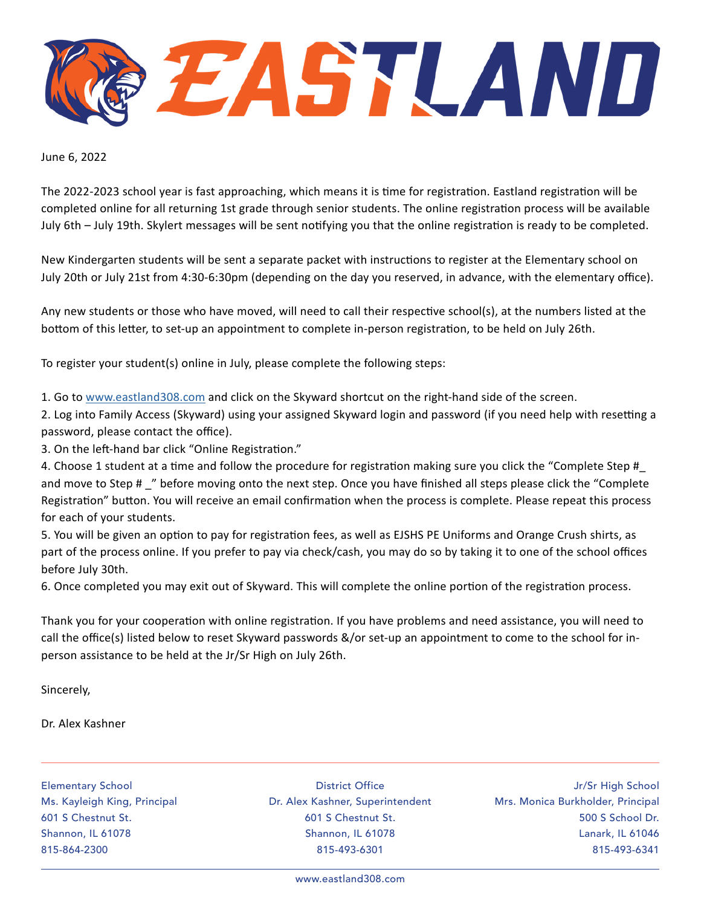EASTLAND

June 6, 2022

The 2022-2023 school year is fast approaching, which means it is time for registration. Eastland registration will be completed online for all returning 1st grade through senior students. The online registration process will be available July 6th – July 19th. Skylert messages will be sent notifying you that the online registration is ready to be completed.

New Kindergarten students will be sent a separate packet with instructions to register at the Elementary school on July 20th or July 21st from 4:30-6:30pm (depending on the day you reserved, in advance, with the elementary office).

Any new students or those who have moved, will need to call their respective school(s), at the numbers listed at the bottom of this letter, to set-up an appointment to complete in-person registration, to be held on July 26th.

To register your student(s) online in July, please complete the following steps:

1. Go to [www.eastland308.com](http://www.eastland308.com) and click on the Skyward shortcut on the right-hand side of the screen.

2. Log into Family Access (Skyward) using your assigned Skyward login and password (if you need help with resetting a password, please contact the office).

3. On the left-hand bar click "Online Registration."

4. Choose 1 student at a time and follow the procedure for registration making sure you click the "Complete Step # and move to Step # \_" before moving onto the next step. Once you have finished all steps please click the "Complete Registration" button. You will receive an email confirmation when the process is complete. Please repeat this process for each of your students.

5. You will be given an option to pay for registration fees, as well as EJSHS PE Uniforms and Orange Crush shirts, as part of the process online. If you prefer to pay via check/cash, you may do so by taking it to one of the school offices before July 30th.

6. Once completed you may exit out of Skyward. This will complete the online portion of the registration process.

Thank you for your cooperation with online registration. If you have problems and need assistance, you will need to call the office(s) listed below to reset Skyward passwords &/or set-up an appointment to come to the school for inperson assistance to be held at the Jr/Sr High on July 26th.

Sincerely,

Dr. Alex Kashner

Elementary School Ms. Kayleigh King, Principal 601 S Chestnut St. Shannon, IL 61078 815-864-2300

District Office Dr. Alex Kashner, Superintendent 601 S Chestnut St. Shannon, IL 61078 815-493-6301

Jr/Sr High School Mrs. Monica Burkholder, Principal 500 S School Dr. Lanark, IL 61046 815-493-6341

www.eastland308.com